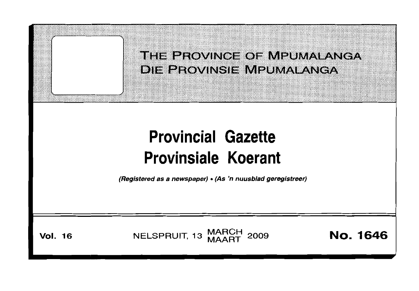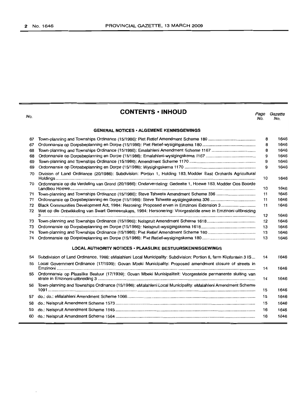| No.                                                              | <b>CONTENTS · INHOUD</b>                                                                                                                                                                                 | Page<br>No. | Gazette<br>No. |  |  |
|------------------------------------------------------------------|----------------------------------------------------------------------------------------------------------------------------------------------------------------------------------------------------------|-------------|----------------|--|--|
| <b>GENERAL NOTICES · ALGEMENE KENNISGEWINGS</b>                  |                                                                                                                                                                                                          |             |                |  |  |
| 67                                                               |                                                                                                                                                                                                          | 8           | 1646           |  |  |
| 67                                                               |                                                                                                                                                                                                          | 8           | 1646           |  |  |
| 68                                                               |                                                                                                                                                                                                          | 8           | 1646           |  |  |
| 68                                                               |                                                                                                                                                                                                          | 9           | 1646           |  |  |
| 69                                                               |                                                                                                                                                                                                          | 9           | 1646           |  |  |
| 69                                                               |                                                                                                                                                                                                          | 9           | 1646           |  |  |
| 70                                                               | Division of Land Ordinance (20/1986): Subdivision: Portion 1, Holding 183, Modder East Orchards Agricultural                                                                                             | 10          | 1646           |  |  |
| 70                                                               | Ordonnansie op die Verdeling van Grond (20/1986): Onderverdeling: Gedeelte 1, Hoewe 183, Modder Oos Boorde                                                                                               | 10          | 1646           |  |  |
| 71                                                               | Town-planning and Townships Ordinance (15/1986): Steve Tshwete Amendment Scheme 336                                                                                                                      | 11          | 1646           |  |  |
| 71                                                               |                                                                                                                                                                                                          | 11          | 1646           |  |  |
| 72<br>72                                                         | Black Communities Development Act, 1984: Rezoning: Proposed erven in Emzinoni Extension 3<br>Wet op die Ontwikkeling van Swart Gemeenskaps, 1984: Hersonering: Voorgestelde erwe in Emzinoni-uitbreiding | 11          | 1646           |  |  |
|                                                                  |                                                                                                                                                                                                          | 12          | 1646           |  |  |
| 73                                                               |                                                                                                                                                                                                          | 12          | 1646           |  |  |
| 73                                                               |                                                                                                                                                                                                          | 13          | 1646           |  |  |
| 74                                                               |                                                                                                                                                                                                          | 13          | 1646           |  |  |
| 74                                                               |                                                                                                                                                                                                          | 13          | 1646           |  |  |
| <b>LOCAL AUTHORITY NOTICES · PLAASLIKE BESTUURSKENNISGEWINGS</b> |                                                                                                                                                                                                          |             |                |  |  |
| 54                                                               | Subdivision of Land Ordinance, 1986: eMalahleni Local Municipality: Subdivision: Portion 8, farm Klipfontein 3 IS                                                                                        | 14          | 1646           |  |  |
| 55                                                               | Local Government Ordinance (17/1939): Govan Mbeki Municipality: Proposed amendment closure of streets in                                                                                                 | 14          | 1646           |  |  |
| 55                                                               | Ordonnansie op Plaaslike Bestuur (17/1939): Govan Mbeki Munisipaliteit: Voorgestelde permanente sluiting van                                                                                             | 14          | 1646           |  |  |
| 56                                                               | Town-planning and Townships Ordinance (15/1986): eMalahleni Local Municipality: eMalahleni Amendment Scheme                                                                                              | 15          | 1646           |  |  |
| 57                                                               |                                                                                                                                                                                                          | 15          | 1646           |  |  |
| 58                                                               |                                                                                                                                                                                                          | 15          | 1646           |  |  |
| 59                                                               |                                                                                                                                                                                                          | 16          | 1646           |  |  |
| 60                                                               |                                                                                                                                                                                                          | 16          | 1646           |  |  |
|                                                                  |                                                                                                                                                                                                          |             |                |  |  |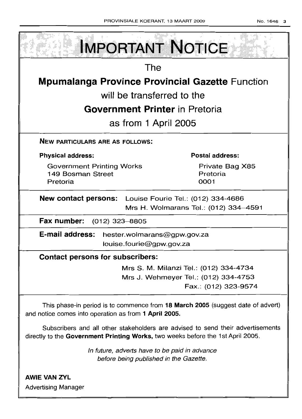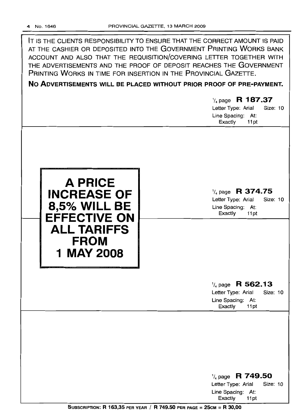| IT IS THE CLIENTS RESPONSIBILITY TO ENSURE THAT THE CORRECT AMOUNT IS PAID<br>AT THE CASHIER OR DEPOSITED INTO THE GOVERNMENT PRINTING WORKS BANK<br>ACCOUNT AND ALSO THAT THE REQUISITION/COVERING LETTER TOGETHER WITH<br>THE ADVERTISEMENTS AND THE PROOF OF DEPOSIT REACHES THE GOVERNMENT<br>PRINTING WORKS IN TIME FOR INSERTION IN THE PROVINCIAL GAZETTE.<br>NO ADVERTISEMENTS WILL BE PLACED WITHOUT PRIOR PROOF OF PRE-PAYMENT.<br>$\frac{1}{4}$ page R 187.37 |                                                                                                                          |  |  |  |
|--------------------------------------------------------------------------------------------------------------------------------------------------------------------------------------------------------------------------------------------------------------------------------------------------------------------------------------------------------------------------------------------------------------------------------------------------------------------------|--------------------------------------------------------------------------------------------------------------------------|--|--|--|
|                                                                                                                                                                                                                                                                                                                                                                                                                                                                          | Letter Type: Arial<br>Size: 10<br>Line Spacing: At:                                                                      |  |  |  |
| <b>A PRICE</b><br><b>INCREASE OF</b><br><b>8,5% WILL BE</b><br><b>EFFECTIVE ON</b><br>ALL TARIFFS<br><b>FROM</b><br>1 MAY 2008                                                                                                                                                                                                                                                                                                                                           | Exactly<br>11pt<br>$\frac{1}{4}$ page R 374.75<br>Letter Type: Arial<br>Size: 10<br>Line Spacing: At:<br>Exactly<br>11pt |  |  |  |
|                                                                                                                                                                                                                                                                                                                                                                                                                                                                          | $\frac{1}{4}$ page R 562.13<br><b>Size: 10</b><br>Letter Type: Arial                                                     |  |  |  |
|                                                                                                                                                                                                                                                                                                                                                                                                                                                                          | Line Spacing: At:<br>Exactly<br>11pt                                                                                     |  |  |  |
|                                                                                                                                                                                                                                                                                                                                                                                                                                                                          | $\frac{1}{4}$ page R 749.50<br>Letter Type: Arial<br><b>Size: 10</b><br>Line Spacing: At:<br>Exactly<br>11pt             |  |  |  |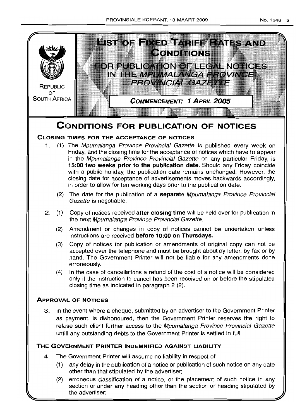

# **THE GOVERNMENT PRINTER INDEMNIFIED AGAINST LIABILITY**

- 4. The Government Printer will assume no liability in respect of-
	- (1) any delay in the publication of a notice or publication of such notice on any date other than that stipulated by the advertiser;
	- (2) erroneous classification of a notice, or the placement of such notice in any section or under any heading other than the section or heading stipulated by the advertiser;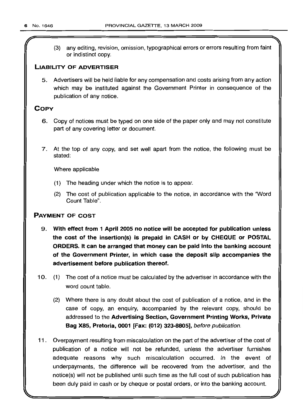(

(3) any editing, revision, omission, typographical errors or errors resulting from faint or indistinct copy.

## **LIABILITY OF ADVERTISER**

5. Advertisers will be held liable for any compensation and costs arising from any action which may be instituted against the Government Printer in consequence of the publication of any notice.

# **COpy**

- 6. Copy of notices must be typed on one side of the paper only and may not constitute part of any covering letter or document.
- 7. At the top of any copy, and set well apart from the notice, the following must be stated:

Where applicable

- (1) The heading under which the notice is to appear.
- (2) The cost of publication applicable to the notice, in accordance with the "Word Count Table".

# **PAYMENT OF COST**

- 9. **With effect from 1 April 2005 no notice will be accepted for publication unless the cost of the insertion(s) is prepaid in CASH or by CHEQUE or POSTAL ORDERS. It can be arranged that money can be paid into the banking account of the Government Printer, in which case the deposit slip accompanies the advertisement before publication thereof.**
- 10. (1) The cost of a notice must be calculated by the advertiser in accordance with the word count table.
	- (2) Where there is any doubt about the cost of publication of a notice, and in the case of copy, an enquiry, accompanied by the relevant copy, should be addressed to the **Advertising Section, Government Printing Works, Private Bag X85, Pretoria, 0001 [Fax: (012) 323-8805],** before publication.
- **11.** Overpayment resulting from miscalculation on the part of the advertiser of the cost of publication of a notice will not be refunded, unless the advertiser furnishes adequate reasons why such miscalculation occurred. In the event of underpayments, the difference will be recovered from the advertiser, and the notice(s) will not be published until such time as the full cost of such publication has been duly paid in cash or by cheque or postal orders, or into the banking account.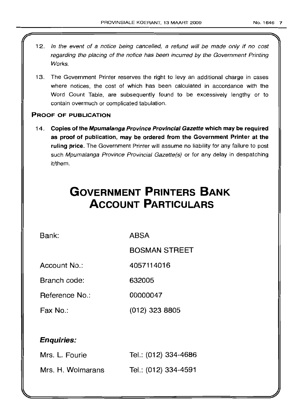- 12. In the event of a notice being cancelled, a refund will be made only if no cost regarding the placing of the notice has been incurred by the Government Printing Works.
- 13. The Government Printer reserves the right to levy an additional charge in cases where notices, the cost of which has been calculated in accordance with the Word Count Table, are subsequently found to be excessively lengthy or to contain overmuch or complicated tabulation.

# PROOF OF PUBLICATION

14. Copies of the Mpumalanga Province Provincial Gazette which may be required as proof of publication, may be ordered from the Government Printer at the ruling price. The Government Printer will assume no liability for any failure to post such Mpumalanga Province Provincial Gazette(s) or for any delay in despatching it/them.

# **GOVERNMENT PRINTERS BANK ACCOUNT PARTICULARS**

Bank: ABSA

BOSMAN STREET

Account No.: 4057114016

Branch code: 632005

Heference No.: 00000047

Fax No.: (012) 323 8805

# Enquiries:

| Mrs. L. Fourie    | Tel.: (012) 334-4686 |
|-------------------|----------------------|
| Mrs. H. Wolmarans | Tel.: (012) 334-4591 |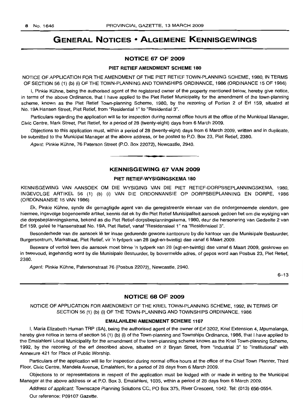# **GENERAL NOTICES • ALGEMENE KENNISGEWINGS**

#### NOTICE 67 OF 2009

#### PIET RETIEF AMENDMENT SCHEME 180

NOTICE OF APPLICATION FOR THE AMENDMENT OF THE PIET RETIEF TOWN-PLANNING SCHEME, 1980, IN TERMS OF SECTION 56 (1) (b) (i) OF THE TOWN-PLANNING AND TOWNSHIPS ORDINANCE, 1986 (ORDINANCE 15 OF 1986)

I, Pinkie Kuhne, being the authorised agent of the registered owner of the property mentioned below, hereby give notice, in terms of the above Ordinance, that I have applied to the Piet Retief Municipality for the amendment of the town-planning scheme, known as the Piet Retief Town-planning Scheme, 1980, by the rezoning of Portion 2 of Erf 159, situated at No. 19A Hansen Street, Piet Retief, from "Residential 1" to "Residential 3".

Particulars regarding the application will lie for inspection during normal office hours at the office of the Municipal Manager, Civic Centre, Mark Street, Piet Retief, for a period of 28 (twenty-eight) days from 6 March 2009.

Objections to this application must, within a period of 28 (twenty-eight) days from 6 March 2009, written and in duplicate, be submitted to the Municipal Manager at the above address, or be posted to P.O. Box 23, Piet Retief, 2380.

Agent: Pinkie Kuhne, 76 Paterson Street (P.O. Box 22072), Newcastle, 2940.

#### KENNISGEWING 67 VAN 2009

**- .**

#### PIET RETIEF-WYSIGINGSKEMA 180

KENNISGEWING VAN AANSOEK OM DIE WYSIGING VAN DIE PIET RETIEF-DORPSBEPLANNINGSKEMA, 1980, INGEVOLGE ARTIKEL 56 (1) (b) (i) VAN DIE ORDONNANSIE OP DORPSBEPLANNING EN DORPE, 1986 (ORDONNANSIE 15 VAN 1986)

Ek, Pinkie Kuhne, synde die gemagtigde agent van die geregistreerde eienaar van die ondergenoemde eiendom, gee hiermee, ingevolge bogenoemde artikel, kennis dat ek by die Piet Retief Munisipaliteit aansoek gedoen het om die wysiging van die dorpsbeplanningskema, bekend as die Piet Retief-dorpsbeplanningskema, 1980, deur die hersonering van Gedeelte 2 van Erf 159, gelee te Hansenstraat No. 19A, Piet Retief, vanaf "Residensieel 1" na "Residensieel 3".

Besonderhede van die aansoek lê ter insae gedurende gewone kantoorure by die kantoor van die Munisipale Bestuurder, Burgersentrum, Markstraat, Piet Retief, vir 'n tydperk van 28 (agt-en-twintig) dae vanaf 6 Maart 2009.

Besware of vertoë teen die aansoek moet binne 'n tydperk van 28 (agt-en-twintig) dae vanaf 6 Maart 2009, geskrewe en in tweevoud, ingehandig word by die Munisipale Bestuurder, by bovermelde adres, of gepos word aan Posbus 23, Piet Retief, 2380.

Agent: Pinkie Kühne, Patersonstraat 76 (Posbus 22072), Newcastle, 2940.

6-13

# NOTICE 68 OF 2009

NOTICE OF APPLICATION FOR AMENDMENT OF THE KRIEL TOWN-PLANNING SCHEME, 1992, IN TERMS OF SECTION 56 (1) (b) (i) OF THE TOWN-PLANNING AND TOWNSHIPS ORDINANCE, 1986

#### EMALAHLENI AMENDMENT SCHEME 1167

I, Maria Elizabeth Human TRP (SA), being the authorised agent of the owner of Erf 3202, Kriel Extension 4, Mpumalanga, hereby give notice in terms of section 56 (1) (b) (i) of the Town-planning and Townships Ordinance, 1986, that I have applied to the Emalahleni Local Municipality for the amendment of the town-planning scheme known as the Kriel Town-planning Scheme, 1992, by the rezoning of the ert described above, situated on 2 Bryan Street, from "Industrial 3" to "Institutional" with Annexure 421 for Place of Public Worship.

Particulars of the application will lie for inspection during normal office hours at the office of the Chief Town Planner, Third Floor, Civic Centre, Mandela Avenue, Emalahleni, for a period of 28 days from 6 March 2009.

Objections to or representations in respect of the application must be lodged with or made in writing to the Municipal Manager at the above address or at P.O. Box 3, Emalahleni, 1035, within a period of 28 days from 6 March 2009.

Address of applicant: Townscape Planning Solutions CC, PO Box 375, River Crescent, 1042. Tel: (013) 656-0554. Our reference: P09107 Gazette.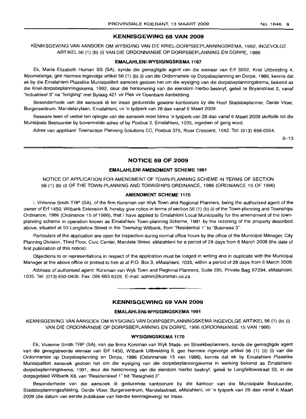#### **KENNISGEWING 68 VAN 2009**

KENNISGEWING VAN AANSOEK OM WYSIGING VAN DIE KRIEL-DORPSBEPLANNINGSKEMA, 1992, INGEVOLGE ARTIKEL 56 (1) (b) (i) VAN DIE ORDONNANSIE OP DORPSBEPLANNING EN DORPE, 1986

#### **EMALAHLENI-WYSIGINGSKEMA 1167**

Ek, Maria Elizabeth Human SS (SA), synde die gemagtigde agent van die eienaar van Erf 3202, Kriel Uitbreiding 4, Mpumalanga, gee hiermee ingevolge artikel 56 (1) (b) (i) van die Ordonnansie op Dorpsbeplanning en Dorpe, 1986, kennis dat ek by die Emalahleni Plaaslike Munisipaliteit aansoek gedoen het om die wysiging van die dorpsbeplanningskema, bekend as die Kriel-dorpsbeplanningskema, 1992, deur die hersonering van die eiendom hierbo beskryf, geleë te Bryanstraat 2, vanaf "Industrieel 3" na "Inrigting" met Bylaag 421 vir Plek vir Openbare Aanbidding.

Besonderhede van die aansoek lê ter insae gedurende gewone kantoorure by die Hoof Stadsbeplanner, Derde Vloer, Burgersentrum, Mandelarylaan, Emalahleni, vir 'n tydperk van 28 dae vanaf 6 Maart 2009.

Besware teen of vertoë ten opsigte van die aansoek moet binne 'n tydperk van 28 dae vanaf 6 Maart 2009 skriftelik tot die Munisipale Bestuurder by bovermelde adres of by Posbus 3, Emalahleni, 1035, ingedien of gerig word.

Adres van applikant: Townscape Planning Solutions CC, Posbus 375, River Crescent, 1042. Tel: (013) 656-0554.

 $6 - 13$ 

#### **NOTICE 69 OF 2009**

#### **EMALAHLENI AMENDMENT SCHEME 1991**

NOTICE OF APPLICATION FOR AMENDMENT OF TOWN-PLANNING SCHEME IN TERMS OF SECTION 56 (1) (b) (i) OF THE TOWN-PLANNING AND TOWNSHIPS ORDINANCE, 1986 (ORDINANCE 15 OF 1986)

#### **AMENDMENT SCHEME 1170**

I, Vivienne Smith TRP (SA), of the firm Korsman van Wyk Town and Regional Planners, being the authorized agent of the owner of Erf 1450, Witbank Extension 8, hereby give notice in terms of section 56 (1) (b) (i) of the Town-planning and Townships Ordinance, 1986 (Ordinance 15 of 1986), that I have applied to Emalahleni Local Municipality for the amendment of the townplanning scheme in operation known as Emalahleni Town-planning Scheme, 1991 by the rezoning of the property described above, situated at 53 Longfellow Street in the Township Witbank, from "Residential 1" to "Business 3".

Particulars of the application are open for inspection during normal office hours by the office of the Municipal Manager, City Planning Division, Third Floor, Civic Center, Mandela Street, eMalahleni for a period of 28 days from 6 March 2009 (the date of first publication of this notice).

Objections to or representations in respect of the application must be lodged in writing and in duplicate with the Municipal Manager at the above office or posted to him at at P.O. Box 3, eMalahleni, 1035, within a period of 28 days from 6 March 2009.

Address of authorised agent: Korsman van Wyk Town and Regional Planners, Suite 295, Private Bag X7294, eMalahleni, 1035. Tel: (013) 650-0408. Fax: 086 663 6326. E-mail: admin@korsman.co.za

# **KENNISGEWING 69 VAN 2009**

**I •**

#### **EMALAHLENI-WYSIGINGSKEMA 1991**

KENNISGEWING VAN AANSOEK OM WYSIGING VAN DORPSBEPLANNINGSKEMA INGEVOLGE ARTIKEL 56 (1) (b) (i) VAN DIE ORDONNANSIE OP DORPSBEPLANNING EN DORPE, 1986 (ORDONNANSIE 15 VAN 1986)

#### **WYSIGINGSKEMA 1170**

Ek, Vivienne Smith TRP (SA), van die firma Korsman van Wyk Stads- en Streekbeplanners, synde die gemagtigde agent van die geregistreerde eienaar van Erf 1450, Witbank Uitbreiding 8, gee hiermee ingevolge artikel 56 (1) (b) (i) van die Ordonnansie op Dorpsbeplanning en Dorpe, 1986 (Odonnansie 15 van 1986), kennis dat ek by Emalahleni Plaaslike Munisipaliteit aansoek gedoen het om die wysiging van die dorpsbeplanningskema in werking bekend as Emalahlenidorpsbeplanningskema, 1991, deur die hersonering van die eiendom hierbo beskryf, geleë te Longfellowstraat 53, in die dorpsgebied Witbank X8, van "Residensieel 1" tot "Besigheid 3".

Besonderhede van die aansoek lê gedurende kantoorure by die kantoor van die Munisipale Bestuurder, Stadsbeplanningsafdeling, Derde Vloer, Burgersentrum, Mandelastraat, eMalahleni, vir 'n tydperk van 28 dae vanaf 6 Maart 2009 (die datum van eerste publikasie van hierdie kennisgewing) ter insae.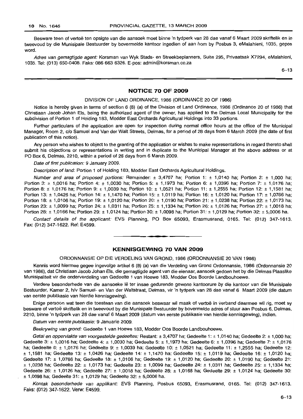Besware teen of vertoë ten opsigte van die aansoek moet binne 'n tydperk van 28 dae vanaf 6 Maart 2009 skriftelik en in tweevoud by die Munisipale Bestuurder by bovermelde kantoor ingedien of aan hom by Posbus 3, eMalahleni, 1035, gepos word.

Adres van gemagtigde agent: Korsman van Wyk Stads- en Streekbeplanners, Suite 295, Privaatsak X7294, eMalahleni, 1035. Tel: (013) 650-0408. Faks: 086 663 6326. E-pos: admin@korsman.co.za

6-13

#### **NOTICE 70 OF 2009**

#### DIVISION OF LAND ORDINANCE, 1986 (ORDINANCE 20 OF 1986)

Notice is hereby given in terms of section 6 (8) (a) of the Division of Land Ordinance, 1986 (Ordinance 20 of 1986) that Christiaan Jacob Johan Els, being the authorized agent of the owner, has applied to the Delmas Local Municipality for the subdivision of Portion 1 of Holding 183, Modder East Orchards Agricultural Holdings into 33 portions.

Further particulars of the application are open for inspection during normal office hours at the office of the Municipal Manager, Room 2, c/o Samuel and Van der Walt Streets, Delmas, for a period of 28 days from 6 March 2009 (the date of first publication of this notice).

Any person who wishes to object to the granting of the application or wishes to make representations in regard thereto shall submit his objections or representations in writing and in duplicate to the Municipal Manager at the above address or at PO Box 6, Delmas, 2210, within a period of 28 days from 6 March 2009.

Date of first publication: 9 January 2009.

Description of land: Portion 1 of Holding 183, Modder East Orchards Agricultural Holdings.

Number and area of proposed portions: Remainder:  $\pm$  3,4707 ha; Portion 1:  $\pm$  1,0140 ha; Portion 2:  $\pm$  1,000 ha; Portion 3: ± 1,0016 ha; Portion 4: ± 1,0030 ha; Portion 5: ± 1,1973 ha; Portion 6: ± 1,0396 ha; Portion 7: ± 1,0176 ha; Portion 8: ± 1,0176 ha; Portion 9: ± 1,0039 ha; Portion 10: ± 1,0521 ha; Portion 11: ± 1,2555 ha; Portion 12: ± 1,1581 ha; Portion 13: ± 1,0426 ha; Portion 14: ± 1,1470 ha; Portion 15: ± 1,0119 ha; Portion 16: ± 1,0120 ha; Portion 17: ± 1,0766 ha; Portion 18: ± 1,0106 ha; Portion 19: ± 1,0120 ha; Portion 20: ± 1,0190 ha; Portion 21: ± 1,0238 ha; Portion 22: ± 1,0173 ha; Portion 23: ± 1,0099 ha; Portion 24: ± 1,0311 ha; Portion 25: ± 1,1334 ha; Portion 26: ± 1,0126 ha; Portion 27: ± 1,0018 ha; Portion 28: ± 1,0166 ha; Portion 29: ± 1,0124 ha; Portion 30: ± 1,0098 ha; Portion 31: ± 1,0129 ha; Portion 32: ± 5,0006 ha.

Contact details of the applicant: EVS Planning, PO Box 65093, Erasmusrand, 0165. Tel: (012) 347-1613. Fax: (012) 347-1622. Ref: E4599. **-.**

# **KENNISGEWING 70 VAN 2009**

#### ORDONNANSIE OP DIE VERDELING VAN GROND, 1986 (ORDONNANSIE 20 VAN 1986)

Kennis word hiermee gegee ingevolge artikel 6 (8) (a) van die Verdeling van Grond Ordonnansie, 1986 (Ordonnansie 20 van 1986), dat Christiaan Jacob Johan Els, die gemagtigde agent van die eienaar, aansoek gedoen het by die Delmas Plaaslike Munisipaliteit vir die onderverdeling van Gedeelte 1 van Hoewe 183, Modder Oos Boorde Landbouhoewe.

Verdere besonderhede van die aansoeke Ie ter insae gedurende gewone kantoorure by die kantoor van die Munisipale Bestuurder, Kamer 2, h/v Samuel- en Van der Waltstraat, Delmas, vir 'n tydperk van 28 dae vanaf 6 Maart 2009 (die datum van eerste publikasie van hierdie kennisgewing).

Enige persoon wat teen die toestaan van die aansoek beswaar wil maak of vertoë in verband daarmee wil rig, moet sy besware of vertoë skriftelik en in tweevoud by die Munisipale Bestuurder by bovermelde adres of stuur aan Posbus 6, Delmas, 2210, binne 'n tydperk van 28 dae vanaf 6 Maart 2009 (datum van eerste publikasie van hierdie kennisgewing), indien.

Datum van eerste pubfikasie: 9 Januarie 2009.

Beskrywing van grond: Gedeelte 1 van Hoewe 183, Modder Oos Boorde Landbouhoewe.

Getal en oppervlakte van voorgestelde gedeeltes: Restant: ± 3,4707 ha; Gedeelte 1: ± 1,0140 ha; Gedeelte 2: ± 1,000 ha; Gedeelte 3: ± 1,0016 ha; Gedeelte 4: ± 1,0030 ha; Gedeelte 5: ± 1,1973 ha; Gedeelte 6: ± 1,0396 ha; Gedeelte 7: ± 1,0176 ha; Gedeelte 8: ± 1,0176 ha; Gedeelte 9: ± 1,0039 ha; Gedeelte 10: ± 1,0521 ha; Gedeelte 11: ± 1,2555 ha; Gedeelte 12: ± 1,1581 ha; Gedeelte 13: ± 1,0426 ha; Gedeelte 14: ± 1,1470 ha; Gedeelte 15: ± 1,0119 ha; Gedeelte 16: ± 1,0120 ha; Gedeelte 17: ± 1,0766 ha; Gedeelte 18: ± 1,0106 ha; Gedeelte 19: ± 1,0120 ha: Gedeelte 20: ± 1,0190 ha; Gedeelte 21: ± 1,0238 ha; Gedeelte 22: ± 1,0173 ha; Gedeelte 23: ± 1,0099 ha; Gedeelte 24: ± 1,0311 ha; Gedeelte 25: ± 1,1334 ha; Gedeelte 26: ± 1,0126 ha; Gedeelte 27: ± 1,0018 ha; Gedeelte 28: ± 1,0168 ha; Gedeelte 29: ± 1,0124 ha; Gedeelte 30: ± 1,0098 ha; Gedeelte 31: ± 1,0129 ha; Gedeelte 32: ± 5,0006 ha.

Kontak besonderhede van appfikant: EVS Planning, Posbus 65093, Erasmusrand, 0165. Tel: (012) 347-1613. Faks: (012) 347-1622. Verw: E4599.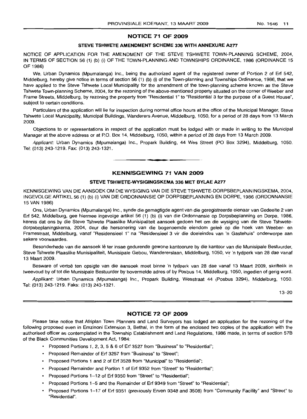# **NOTICE 71 OF 2009**

### **STEVE TSHWETE AMENDMENT SCHEME 336 WITH ANNEXURE A2.77**

NOTICE OF APPLICATION FOR THE AMENDMENT OF THE STEVE TSHWETE TOWN-PLANNING SCHEME, 2004, IN TERMS OF SECTION 56 (1) (b) (i) OF THE TOWN-PLANNING AND TOWNSHIPS ORDINANCE, 1986 (ORDINANCE 15 OF 1986)

We, Urban Dynamics (Mpumalanga) Inc., being the authorized agent of the registered owner of Portion 2 of Erf 542, Middelburg, hereby give notice in terms of section 56 (1) (b) (i) of the Town-planning and Townships Ordinance, 1986, that we have applied to the Steve Tshwete Local Municipality for the amendment of the town-planning scheme known as the Steve Tshwete Town-planning Scheme, 2004, for the rezoning of the above-mentioned property situated on the corner of Weeber and Frame Streets, Middelburg, by rezoning the property from "Residential 1" to "Residential 3 for the purpose of a Guest House", subject to certain conditions.

Particulars of the application will lie for inspection during normal office hours at the office of the Municipal Manager, Steve Tshwete Local Municipality, Municipal Buildings, Wanderers Avenue, Middelburg, 1050, for a period of 28 days from 13 March 2009.

Objections to or representations in respect of the application must be lodged with or made in writing to the Municipal Manager at the above address or at P.O. Box 14, Middelburg, 1050, within a period of 28 days from 13 March 2009.

Applicant: Urban Dynamics (Mpumalanga) Inc., Propark Building, 44 Wes Street (PO Box 3294), Middelburg, 1050. Tel: (013) 243-1219. Fax: (013) 243-1321.

**1\_**

**KENNISGEWING 71 VAN 2009**

#### **STEVE TSHWETE-WYSIGINGSKEMA 336 MET BYLAE A277**

KENNISGEWING VAN DIE AANSOEK OM DIE WYSIGING VAN DIE STEVE TSHWETE-DORPSBEPLANNINGSKEMA, 2004, INGEVOLGE ARTIKEL 56 (1) (b) (i) VAN DIE ORDONNANSIE OP DORPSBEPLANNING EN DORPE, 1986 (ORDONNANSIE 15 VAN 1986)

Ons, Urban Dynamics (Mpumalanga) Inc., synde die gemagtigde agent van die geregistreerde eienaar van Gedeelte 2 van Erf 542, Middelburg, gee hiermee ingevolge artikel 56 (1) (b) (i) van die Ordonnansie op Dorpsbeplanning en Dorpe, 1986, kennis dat ons by die Steve Tshwete Plaaslike Munisipaliteit aansoek gedoen het om die wysiging van die Steve Tshwetedorpsbeplaningskema, 2004, deur die hersonering van die bogenoemde eiendom gelee op die hoek van Weeber- en Framestraat, Middelburg, vanaf "Residensieel 1" na "Residensieel 3 vir die doeleindes van 'n Gastehuis" onderworpe aan sekere voorwaardes.

Besonderhede van die aansoek lê ter insae gedurende gewone kantoorure by die kantoor van die Munisipale Bestuurder, Steve Tshwete Plaaslike Munisipaliteit, Munisipale Gebou, Wandererslaan, Middelburg, 1050, vir 'n tydperk van 28 dae vanaf 13 Maart 2009. .

Besware of vertoe ten opsigte van die aansoek moet binne 'n tydperk van 28 dae vanaf 13 Maart 2009, skriftelik in tweevoud by of tot die Munisipale Bestuurder by bovermelde adres of by Posbus 14, Middelburg, 1050, ingedien of gerig word.

Applikant: Urban Dynamics (Mpumalanga) Inc., Propark Building, Wesstraat 44 (Posbus 3294), Middelburg, 1050. Tel: (013) 243-1219. Faks: (013) 243-1321.

13--20

# **NOTICE 72 OF 2009**

Please take notice that Afriplan Town Planners and Land Surveyors has lodged an application for the rezoning of the following proposed even in Emzinoni Extension 3, Bethal, in the form of the enclosed two copies of the application with the authorised officer as contemplated in the Township Establishment and Land Regulations, 1986 made, in terms of section 57B of the Black Communities Development Act, 1984:

- Proposed Portions 1, 2, 3, 5 & 6 of Erf 3527 from "Business" to "Residential";
- Proposed Remainder of Erf 3257 from "Business" to "Street";
- Proposed Portions 1 and 2 of Erf 3528 from "Municipal" to "Residential";
- Proposed Remainder and Portion 1 of Erf 9352 from "Street" to "Residential";
- Proposed Portions 1-12 of Erf 9350 from "Street" to "Residential";
- Proposed Portions 1-5 and the Remainder of Erf 9349 from "Street" to "Residential";
- Proposed Portions 1-17 of Erf 9351 (previously Erven 9348 and 3508) from "Community Facility" and "Street" to "Residential".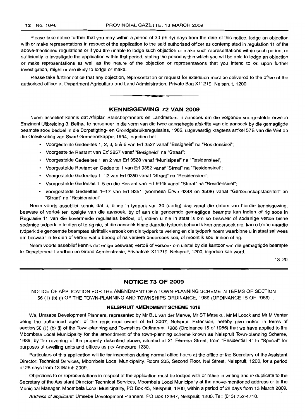Please take notice further that you may within a period of 30 (thirty) days from the date of this notice, lodge an objection with or make representations in respect of the application to the said authorised officer as contemplated in regulation 11 of the above-mentioned regulations or if you are unable to lodge such objection or make such representations within such period, or sufficiently to investigate the application within that period, stating the period within which you will be able to lodge an objection or make representations as well as the nature of the objection or representations that you intend to or, upon further investigation, might or are likely to lodge or make.

Please take further notice that any objection, representation or request for extension must be delivered to the office of the authorised officer at Department Agriculture and Land Administration, Private Bag X11219, Nelspruit, 1200.



**• •**

Neem asseblief kennis dat Afriplan Stadsbeplanners en Landmeters 'n aansoek om die volgende voorgestelde erwe in Emzinoni Uitbreiding 3, Bethal, te hersoneer in die vorm van die twee aangehegte afskrifte van die aansoek by die gemagtigde beampte soos bedoel in die Dorpstigting- en Grondgebruiksregulasies, 1986, uitgevaardig kragtens artikel 57B van die Wet op die Ontwikkeling van Swart Gemeenskappe, 1984, ingedien het:

- Voorgestelde Gedeeltes 1, 2, 3, 5 & 6 van Erf 3527 vanaf "Besigheid" na "Residensieel";
- Voorgestelde Restant van Erf 3257 vanaf "Besigheid" na "Straat";
- Voorgestelde Gedeeltes 1 en 2 van Erf 3528 vanaf "Munisipaal" na "Residensieel";
- Voorgestelde Restant en Gedeelte 1 van Erf 9352 vanaf "Straat" na "Residensieel";
- Voorgestelde Gedeeltes 1-12 van Erf 9350 vanaf "Straat" na "Residensieel";
- Voorgestelde Gedeeles 1-5 en die Restant van Erf 9349 vanaf "Straat" na "Residensieel";
- Voorgestelde Gedeeltes 1-17 van Erf 9351 (voorheen Erwe 9348 en 3508) vanaf "Gemeenskapsfasiliteit" en "Straat" na "Residensieel".

Neem voorts asseblief kennis dat u, binne 'n tydperk van 30 (dertig) dae vanaf die datum van hierdie kennisgewing, besware of vertoe ten opsigte van die aansoek, by of aan die genoemde gemagtigde beampte kan indien of rig soos in Regulasie 11 van die bovermelde regulasies bedoel, of, indien u nie in staat is om so beswaar of sodanige vertoë binne sodanige tydperk in te dien of te rig nie, of die aansoek binne daardie tydperk behoorlik kan ondersoek nie, kan u binne daardie tydperk die genoemde beamptes skriftelik versoek om die tydperk te verleng en die tydperk noem waarbinne u in staat sal wees om beswaar in te dien of vertoë wat u beoog of na verdere ondersoek sou, of moontlik sou, indien of rig.

Neem voorts asseblief kennis dat enige beswaar, vertoe of versoek om uitstel by die kantoor van die gemagtigde beampte te Departement Landbou en Grond Administrasie, Privaatsak X11219, Nelspruit, 1200, ingedien kan word.

13-20

# **NOTICE 73 OF 2009**

NOTICE OF APPLICATION FOR THE AMENDMENT OF A TOWN-PLANNING SCHEME IN TERMS OF SECTION 56 (1) (b) (i) OF THE TOWN-PLANNING AND TOWNSHIPS ORDINANCE, 1986 (ORDINANCE 15 OF 1986)

#### **NELSPRUIT AMENDMENT SCHEME 1618**

We, Umsebe Development Planners, represented by Mr BJL van der Merwe, Mr ST Masuku, Mr M Loock and Mr M Venter being the authorised agent of the registered owner of Erf 3007, Nelspruit Extension, hereby give notice in terms of section 56 (1) (b) (i) of the Town-planning and Townships Ordinance, 1986 (Ordinance 15 of 1986) that we have applied to the Mbombela Local Municipality for the amendment of the town-planning scheme known as Nelspruit Town-planning Scheme, 1989, by the rezoning of the property described above, situated at 21 Ferreira Street, from "Residential 4" to "Special" for purposes of dwelling units and offices as per Annexure 1230.

Particulars of this application will lie for inspection during normal office hours at the office of the Secretary of the Assistant Director: Technical Services, Mbombela Local Municipality, Room 205, Second Floor, Nel Street, Nelspruit, 1200, for a period of 28 days from 13 March 2009.

Objections to or representations in respect of the application must be lodged with or made in writing and in duplicate to the Secretary of the Assistant Director: Technical Services, Mbombela Local Municipally at the above-mentioned address or to the Municipal Manager, Mbombela Local Municipality, PO Box 45, Nelspruit, 1200, within a period of 28 days from 13 March 2009.

Address of applicant: Umsebe Development Planners, PO Box 12367, Nelspruit, 1200. Tel: (013) 752-4710.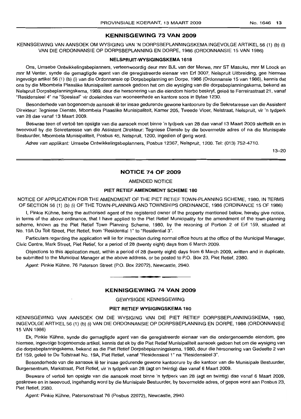#### **KENNISGEWING 73 VAN 2009**

KENNSGEWING VAN AANSOEK OM WYSIGING VAN 'N DORPSBEPLANNINGSKEMA INGEVOLGE ARTIKEL 56 (1) (b) (i) VAN DIE ORDONNANSIE OP DORPSBEPLANNING EN DORPE, 1986 (ORDONNANSIE 15 VAN 1986)

#### **NELSPRUIT-WVSIGINGSKEMA 1618**

Ons, Umsebe Ontwikkelingsbeplanners, verteenwoordig deur mnr BJL van der Merwe, mnr ST Masuku, mnr M Loock en mnr M Venter, synde die gemagtigde agent van die geregistreerde eienaar van Erf 3007, Nelspruit Uitbreiding, gee hiermee ingevolge artikel 56 (1) (b) (i) van die Ordonnansie op Dorpsbeplanning en Dorpe, 1986 (Ordonnansie 15 van 1986), kennis dat ons by die Mbombela Plaaslike Munisipaliteit aansoek gedoen het om die wysiging van die dorpsbeplanningskema, bekend as Nelspruit Dorpsbeplanningskema, 1989, deur die hersonerinq van die eiendom hierbo beskryf, gelee te Ferreirastraat 21, vanaf "Residensieel 4" na "Spesiaal" vir doeleindes van wooneenhede en kantore soos in Bylae 1230.

Besonderhede van bogenoemde aansoek lê ter insae gedurende gewone kantoorure by die Sekretaresse van die Assistent Direkteur: Teqniese Dienste, Mbombela Plaaslike Munisipaliteit, Kamer 205, Tweede Vloer, Nelstraat, Nelspruit, vir 'n tydperk van 28 dae vanaf 13 Maart 2009.

Beswrae teen of vertoë ten opsigte van die aansoek moet binne 'n tydperk van 28 dae vanaf 13 Maart 2009 skriftelik en in tweevoud by die Sekretaresse van die Assistent Direkteur: Tegniese Dienste by die bovermelde adres of na die Munisipale Bestuurder, Mbombela Munisipaliteit, Posbus 45, Nelspruit, 1200, ingedien of gerig word.

Adres van applikant: Umsebe Ontwikkelingsbeplanners, Posbus 12367, Nelspruit, 1200. Tel: (013) 752-4710.

13-20

#### **NOTICE 74 OF 2009**

AMENDED NOTICE

#### **PIET RET'IEF AMENDMENT SCHEME 180**

NOTICE OF APPLICATION FOR THE AMENDMENT OF THE PIET RETIEF TOWN-PLANNING SCHEME, 1980, IN TERMS OF SECTION 56 (1) (b) (i) OF THE TOWN-PLANNING AND TOWNSHIPS ORDINANCE, 1986 (ORDINANCE 15 OF 1986)

I, Pinkie Kuhne, being the authorised agent of the registered owner of the property mentioned below, hereby give notice, in terms of the above ordinance, that I have applied to the Piet Retief Municipality for the amendment of the town-planning scheme, known as the Piet Retief Town Planning Scheme, 1980, by the rezoning of Portion 2 of Erf 159, situated at No. 19A Du Toit Street, Piet Retief, from "Residential 1" to "Residential 3".

Particulars regarding the application will lie for inspection during normal office hours at the office of the Municipal Manager, Civic Centre, Mark Street, Piet Retief, for a period of 28 (twenty eight) days from 6 March 2009.

Objections to this application must, within a period of 28 (twenty eight) days from 6 March 2009, written and in duplicate, be submitted to the Municipal Manager at the above address, or be posted to P.O. Box 23, Piet Retief, 2380.

Agent: Pinkie Kühne, 76 Paterson Street (P.O. Box 22072), Newcastle, 2940.

#### **KENNISGEWING 74 VAN 2009**

**• •**

GEVVYSIGDE KENNISGEWING

#### **PIET RETIEF WVSIGINGSKEMA 180**

KENNISGEWING VAN AANSOEK OM DIE WYSIGING VAN DIE PIET RETIEF DORPSBEPLANNINGSKEMA, 1980, INGEVOLGE ARTIKEL 56 (1) (b) (i) VAN DIE ORDONNANSIE OP DORPSBEPLANNING EN DORPE, 1986 (ORDONNANSIE 15 VAN 1986)

Ek, Pinkie Kuhne, synde die gemagtigde agent van die geregistreerde eienaar van die ondergenoemde eiendom, gee hiermee, ingevolge bogenoemde artikel, kennis dat ek by die Piet Retief Munisipaliteit aansoek gedoen het om die wysiging van die dorpsbeplanningskema, bekend as die Piet Retief Dorpsbeplanningskema, 1980, deur die hersonering van Gedeelte 2 van Erf 159, gelee te Du Toitstraat No. 19A, Piet Retief, vanaf "Residensieel 1" na "Residensieel 3".

Besonderhede van die aansoek lê ter insae gedurende gewone kantoorure by die kantoor van die Munisipale Bestuurder, Burgersentrum, Markstraat, Piet Retief, vir 'n tydperk van 28 (agt en twintig) dae vanaf 6 Maart 2009.

Besware of vertoë ten opsigte van die aansoek moet binne 'n tydperk van 28 (agt en twintig) dae vanaf 6 Maart 2009, geskrewe en in tweevoud, ingehandig word by die Munisipale Bestuurder, by bovermelde adres, of gepos word aan Posbus 23, Piet Retief, 2380.

Agent: Pinkie Kühne, Patersonstraat 76 (Posbus 22072), Newcastle, 2940.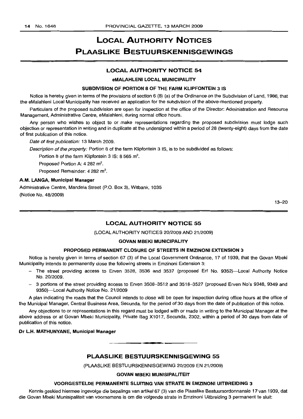# **LOCAL AUTHORITY NOTICES PLAASLIKE BESTUURSKENNISGEWINGS**

#### **LOCAL AUTHORITY NOTICE 54**

#### **eMALAHLENI LOCAL MUNICIPALITY**

#### **SUBDIVISION OF PORTION B OF THE FARM KLIPFONTEIN 3 IS**

Notice is hereby given in terms of the provisions of section 6 (8) (a) of the Ordinance on the Subdivision of Land, 1986, that the eMalahleni Local Municipality has received an application for the subdivision of the above-mentioned property.

Particulars of the proposed subdivision are open for inspection at the office of the Director: Administration and Resource Management, Administrative Centre, eMalahleni, during normal office hours.

Any person who wishes to object to or make representations regarding the proposed subdivision must lodge such objection or representation in writing and in duplicate at the undersigned within a period of 28 (twenty-eight) days from the date of first publication of this notice.

Date of first publication: 13 March 2009.

Description of the property: Portion 8 of the farm Klipfontein 3 IS, is to be subdivided as follows:

Portion 8 of the farm Klipfontein 3 IS: 8 565  $m^2$ .

Proposed Portion A: 4 282 m<sup>2</sup>.

Proposed Remainder: 4 282 m<sup>2</sup>.

#### **A.M. LANGA, Municipal Manager**

Administrative Centre, Mandela Street (P.O. Box 3), Witbank, 1035 (Notice No. 48/2009)

13-20

# **LOCAL AUTHORITY NOTICE 55**

(LOCAL AUTHORITY NOTICES 20/2009 AND 21/2009)

#### **GOVAN MBEKI MUNICIPALITY**

#### **PROPOSED PERMANENT CLOSURE OF STREETS IN EMZINONI EXTENSION 3**

Notice is hereby given in terms of section 67 (3) of the Local Government Ordinance, 17 of 1939, that the Govan Mbeki Municipality intends to permanently close the following streets in Emzinoni Extension 3:

- The street providing access to Erven 3528, 3536 and 3537 (proposed Erf No. 9352)-Local Authority Notice No. 20/2009.
- 3 portions of the street providing access to Erven 3508-3512 and 3518-3527 (proposed Erven No's 9348, 9349 and 9350)-Local Authority Notice No. 21/2009

A plan indicating the roads that the Council intends to close will be open for inspection during office hours at the office of the Municipal Manager, Central Business Area, Secunda, for the period of 30 days from the date of publication of this notice.

Any objections to or representations in this regard must be lodged with or made in writing to the Municipal Manager at the above address or at Govan Mbeki Municipality, Private Bag X1017, Secunda, 2302, within a period of 30 days from date of publication of this notice.

#### **Dr L.H. MATHUNYANE, Municipal Manager**

**PLAASLIKE BESTUURSKENNISGEWING 55**

**• •**

(PLAASLIKE BESTUURSKENNISGEWING 20/2009 EN 21/2009)

#### **GOVAN MBEKI MUNISIPALITEIT**

#### **VOORGESTELDE PERMANENTE SLUITING VAN STRATE IN EMZINONI UITBREIDING 3**

Kennis geskied hiermee ingevolge die bepalings van artikel 67 (3) van die Plaaslike Bestuursordonnansie 17 van 1939, dat die Govan Mbeki Munisipaliteit van voornemens is om die volgende strate in Emzinoni Uitbreiding 3 permanent te sluit: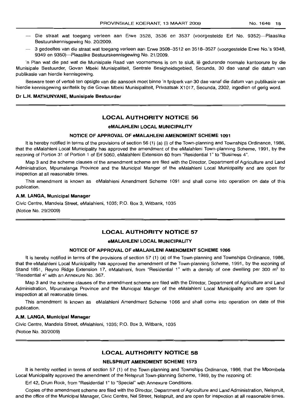- Die straat wat toegang verleen aan Erwe 3528, 3536 en 3537 (voorgestelde Erf No. 9352)-Plaaslike Bestuurskennisgewing No. 20/2009.
- 3 gedeeltes van die straat wat toegang verleen aan Erwe 3508-3512 en 3518-3527 (voorgestelde Erwe No.'s 9348, 9349 en 9350)-Plaaslike Bestuurskennisgewing No. 21/2009.

'n Plan wat die pad wat die Munisipale Raad van voornemens is om te sluit, lê gedurende normale kantoorure by die Munisipale Bestuurder, Govan Mbeki Munisipaliteit, Sentrale Besigheidsgebied, Secunda, 30 dae vanaf die datum van publikasie van hierdie kennisgewing.

Besware teen of vertoë ten opsigte van die aansoek moet binne 'n tydperk van 30 dae vanaf die datum van publikasie van hierdie kennisgewing skriftelik by die Govan Mbeki Munisipaliteit, Privaatsak X1017, Secunda, 2302, ingedien of gerig word.

#### Dr L.H. MATHUNYANE, Munisipale Bestuurder

#### LOCAL AUTHORITY NOTICE 56

#### eMALAHLENI LOCAL MUNICIPALITY

#### NOTICE OF APPROVAL OF eMALAHLENI AMENDMENT SCHEME 1091

It is hereby notified in terms of the provisions of section 56 (1) (a) (i) of the Town-planning and Townships Ordinance, 1986, that the eMalahleni Local Municipality has approved the amendment of the eMalahleni Town-planning Scheme, 1991, by the rezoning of Portion 31 of Portion 1 of Erf 5060, eMalahleni Extension 60 from "Residential 1" to "Business 4".

Map 3 and the scheme clauses of the amendment scheme are filed with the Director, Department of Agriculture and Land Administration, Mpumalanga Province and the Municipal Manger of the eMalahleni Local Municipality and are open for inspection at all reasonable times.

This amendment is known as eMalahleni Amendment Scheme 1091 and shall come into operation on date of this publication.

#### A.M. LANGA, Municipal Manager

Civic Centre, Mandela Street, eMalahleni, 1035; P.O. Box 3, Witbank, 1035

(Notice No. 29/2009)

#### LOCAL AUTHORITY NOTICE 57

#### eMALAHLENI LOCAL MUNICIPALITY

#### NOTICE OF APPROVAL OF eMALAHLENI AMENDMENT SCHEME 1066

It is hereby notified in terms of the provisions of section 57 (1) (a) of the Town-planning and Townships Ordinance, 1986, that the eMalahleni Local Municipality has approved the amendment of the Town-planning Scheme, 1991, by the rezoning of Stand 1851, Reyno Ridge Extension 17, eMalahleni, from "Residential 1" with a density of one dwelling per 300 m<sup>2</sup> to "Residential 4" with an Annexure No. 367.

Map 3 and the scheme clauses of the amendment scheme are filed with the Director, Department of Agriculture and Land Administration, Mpumalanga Province and the Municipal Manger of the eMalahleni Local Municipality and are open for inspection at all reasonable times.

This amendment is known as eMalahleni Amendment Scheme 1066 and shall come into operation on date of this publication.

#### A.M. LANGA, Municipal Manager

Civic Centre, Mandela. Street, eMalahleni, 1035; P.O. Box 3, Witbank, 1035 (Notice No. 30/2009)

#### LOCAL AUTHORITY NOTICE 58

#### NELSPRUITAMENDMENT SCHEME 1573

It is hereby notified in terms of section 57 (1) of the Town-planning and Townships Ordinance, 1986, that the Mbombela Local Municipality approved the amendment of the Nelspruit Town-planning Scheme, 1989, by the rezoning of:

Erf 42, Drum ROGk, from "Residential 1" to "Special" with Annexure Conditions.

Copies of the amendment scheme are filed with the Director, Department of Agriculture and Land Administration, Nelspruit, and the office of the Municipal Manager, Civic Centre, Nel Street, Nelspruit, and are open for inspection at all reasonable times.